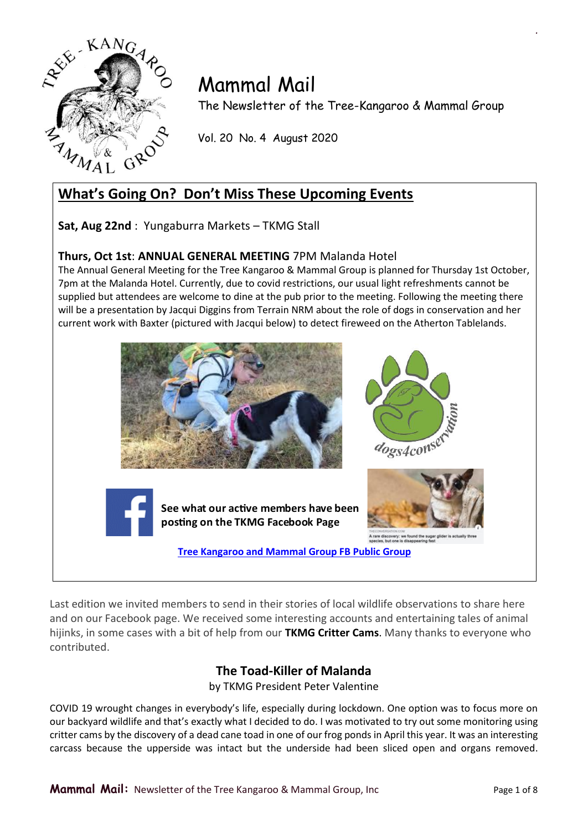

# Mammal Mail

The Newsletter of the Tree-Kangaroo & Mammal Group

Vol. 20 No. 4 August 2020

# **What's Going On? Don't Miss These Upcoming Events**

**Sat, Aug 22nd** : Yungaburra Markets – TKMG Stall

### **Thurs, Oct 1st**: **ANNUAL GENERAL MEETING** 7PM Malanda Hotel

The Annual General Meeting for the Tree Kangaroo & Mammal Group is planned for Thursday 1st October, 7pm at the Malanda Hotel. Currently, due to covid restrictions, our usual light refreshments cannot be supplied but attendees are welcome to dine at the pub prior to the meeting. Following the meeting there will be a presentation by Jacqui Diggins from Terrain NRM about the role of dogs in conservation and her current work with Baxter (pictured with Jacqui below) to detect fireweed on the Atherton Tablelands.



Last edition we invited members to send in their stories of local wildlife observations to share here and on our Facebook page. We received some interesting accounts and entertaining tales of animal hijinks, in some cases with a bit of help from our **TKMG Critter Cams**. Many thanks to everyone who contributed.

## **The Toad-Killer of Malanda**

by TKMG President Peter Valentine

COVID 19 wrought changes in everybody's life, especially during lockdown. One option was to focus more on our backyard wildlife and that's exactly what I decided to do. I was motivated to try out some monitoring using critter cams by the discovery of a dead cane toad in one of our frog ponds in April this year. It was an interesting carcass because the upperside was intact but the underside had been sliced open and organs removed.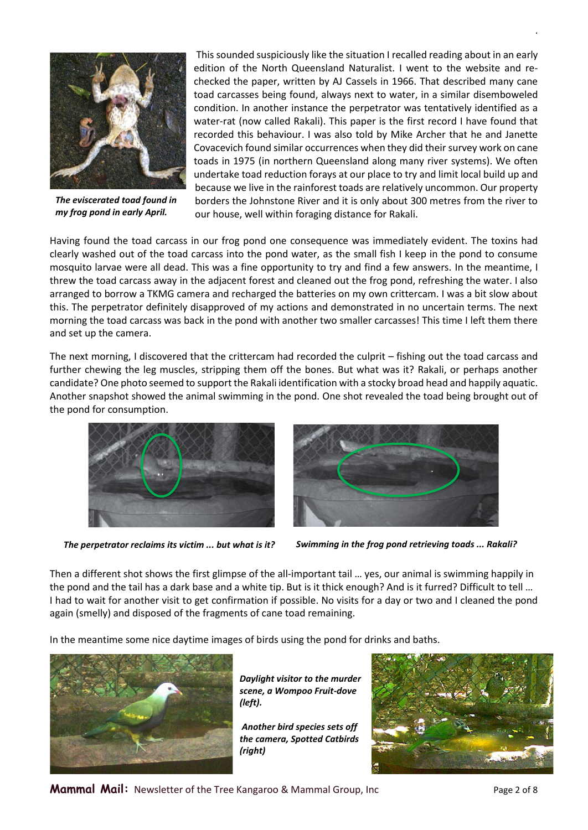

*The eviscerated toad found in my frog pond in early April.*

This sounded suspiciously like the situation I recalled reading about in an early edition of the North Queensland Naturalist. I went to the website and rechecked the paper, written by AJ Cassels in 1966. That described many cane toad carcasses being found, always next to water, in a similar disemboweled condition. In another instance the perpetrator was tentatively identified as a water-rat (now called Rakali). This paper is the first record I have found that recorded this behaviour. I was also told by Mike Archer that he and Janette Covacevich found similar occurrences when they did their survey work on cane toads in 1975 (in northern Queensland along many river systems). We often undertake toad reduction forays at our place to try and limit local build up and because we live in the rainforest toads are relatively uncommon. Our property borders the Johnstone River and it is only about 300 metres from the river to our house, well within foraging distance for Rakali.

Having found the toad carcass in our frog pond one consequence was immediately evident. The toxins had clearly washed out of the toad carcass into the pond water, as the small fish I keep in the pond to consume mosquito larvae were all dead. This was a fine opportunity to try and find a few answers. In the meantime, I threw the toad carcass away in the adjacent forest and cleaned out the frog pond, refreshing the water. I also arranged to borrow a TKMG camera and recharged the batteries on my own crittercam. I was a bit slow about this. The perpetrator definitely disapproved of my actions and demonstrated in no uncertain terms. The next morning the toad carcass was back in the pond with another two smaller carcasses! This time I left them there and set up the camera.

The next morning, I discovered that the crittercam had recorded the culprit – fishing out the toad carcass and further chewing the leg muscles, stripping them off the bones. But what was it? Rakali, or perhaps another candidate? One photo seemed to support the Rakali identification with a stocky broad head and happily aquatic. Another snapshot showed the animal swimming in the pond. One shot revealed the toad being brought out of the pond for consumption.





*The perpetrator reclaims its victim ... but what is it? Swimming in the frog pond retrieving toads ... Rakali?*

Then a different shot shows the first glimpse of the all-important tail … yes, our animal is swimming happily in the pond and the tail has a dark base and a white tip. But is it thick enough? And is it furred? Difficult to tell … I had to wait for another visit to get confirmation if possible. No visits for a day or two and I cleaned the pond again (smelly) and disposed of the fragments of cane toad remaining.

In the meantime some nice daytime images of birds using the pond for drinks and baths.



*Daylight visitor to the murder scene, a Wompoo Fruit-dove (left).*

*Another bird species sets off the camera, Spotted Catbirds (right)*

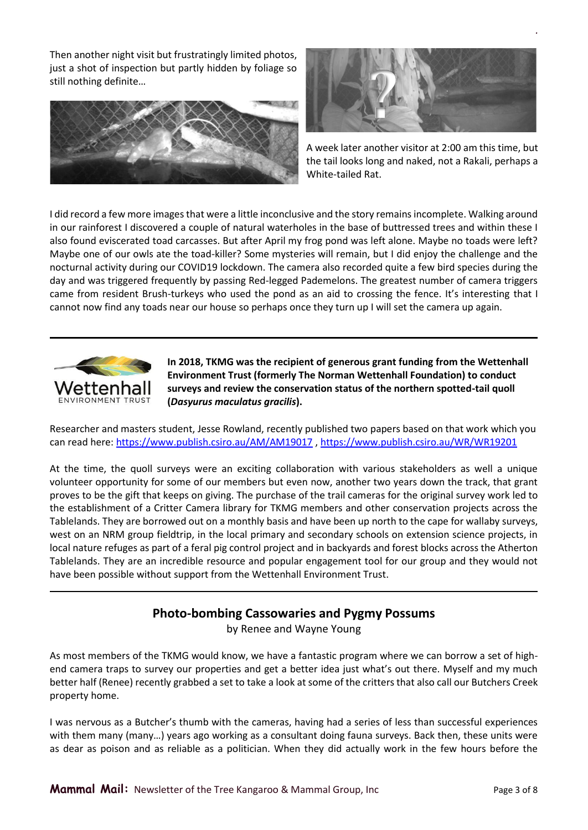Then another night visit but frustratingly limited photos, just a shot of inspection but partly hidden by foliage so still nothing definite…





*.*

A week later another visitor at 2:00 am this time, but the tail looks long and naked, not a Rakali, perhaps a White-tailed Rat.

I did record a few more images that were a little inconclusive and the story remains incomplete. Walking around in our rainforest I discovered a couple of natural waterholes in the base of buttressed trees and within these I also found eviscerated toad carcasses. But after April my frog pond was left alone. Maybe no toads were left? Maybe one of our owls ate the toad-killer? Some mysteries will remain, but I did enjoy the challenge and the nocturnal activity during our COVID19 lockdown. The camera also recorded quite a few bird species during the day and was triggered frequently by passing Red-legged Pademelons. The greatest number of camera triggers came from resident Brush-turkeys who used the pond as an aid to crossing the fence. It's interesting that I cannot now find any toads near our house so perhaps once they turn up I will set the camera up again.



**In 2018, TKMG was the recipient of generous grant funding from the Wettenhall Environment Trust (formerly The Norman Wettenhall Foundation) to conduct surveys and review the conservation status of the northern spotted-tail quoll (***Dasyurus maculatus gracilis***).**

Researcher and masters student, Jesse Rowland, recently published two papers based on that work which you can read here: <https://www.publish.csiro.au/AM/AM19017> [, https://www.publish.csiro.au/WR/WR19201](https://www.publish.csiro.au/WR/WR19201)

At the time, the quoll surveys were an exciting collaboration with various stakeholders as well a unique volunteer opportunity for some of our members but even now, another two years down the track, that grant proves to be the gift that keeps on giving. The purchase of the trail cameras for the original survey work led to the establishment of a Critter Camera library for TKMG members and other conservation projects across the Tablelands. They are borrowed out on a monthly basis and have been up north to the cape for wallaby surveys, west on an NRM group fieldtrip, in the local primary and secondary schools on extension science projects, in local nature refuges as part of a feral pig control project and in backyards and forest blocks across the Atherton Tablelands. They are an incredible resource and popular engagement tool for our group and they would not have been possible without support from the Wettenhall Environment Trust.

### **Photo-bombing Cassowaries and Pygmy Possums**

by Renee and Wayne Young

As most members of the TKMG would know, we have a fantastic program where we can borrow a set of highend camera traps to survey our properties and get a better idea just what's out there. Myself and my much better half (Renee) recently grabbed a set to take a look at some of the critters that also call our Butchers Creek property home.

I was nervous as a Butcher's thumb with the cameras, having had a series of less than successful experiences with them many (many…) years ago working as a consultant doing fauna surveys. Back then, these units were as dear as poison and as reliable as a politician. When they did actually work in the few hours before the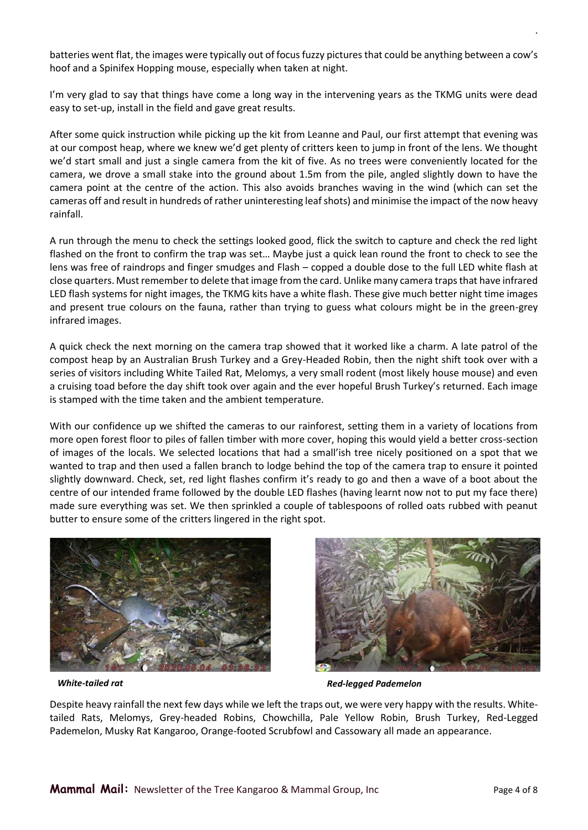batteries went flat, the images were typically out of focus fuzzy pictures that could be anything between a cow's hoof and a Spinifex Hopping mouse, especially when taken at night.

I'm very glad to say that things have come a long way in the intervening years as the TKMG units were dead easy to set-up, install in the field and gave great results.

After some quick instruction while picking up the kit from Leanne and Paul, our first attempt that evening was at our compost heap, where we knew we'd get plenty of critters keen to jump in front of the lens. We thought we'd start small and just a single camera from the kit of five. As no trees were conveniently located for the camera, we drove a small stake into the ground about 1.5m from the pile, angled slightly down to have the camera point at the centre of the action. This also avoids branches waving in the wind (which can set the cameras off and result in hundreds of rather uninteresting leaf shots) and minimise the impact of the now heavy rainfall.

A run through the menu to check the settings looked good, flick the switch to capture and check the red light flashed on the front to confirm the trap was set… Maybe just a quick lean round the front to check to see the lens was free of raindrops and finger smudges and Flash – copped a double dose to the full LED white flash at close quarters. Must remember to delete that image from the card. Unlike many camera traps that have infrared LED flash systems for night images, the TKMG kits have a white flash. These give much better night time images and present true colours on the fauna, rather than trying to guess what colours might be in the green-grey infrared images.

A quick check the next morning on the camera trap showed that it worked like a charm. A late patrol of the compost heap by an Australian Brush Turkey and a Grey-Headed Robin, then the night shift took over with a series of visitors including White Tailed Rat, Melomys, a very small rodent (most likely house mouse) and even a cruising toad before the day shift took over again and the ever hopeful Brush Turkey's returned. Each image is stamped with the time taken and the ambient temperature.

With our confidence up we shifted the cameras to our rainforest, setting them in a variety of locations from more open forest floor to piles of fallen timber with more cover, hoping this would yield a better cross-section of images of the locals. We selected locations that had a small'ish tree nicely positioned on a spot that we wanted to trap and then used a fallen branch to lodge behind the top of the camera trap to ensure it pointed slightly downward. Check, set, red light flashes confirm it's ready to go and then a wave of a boot about the centre of our intended frame followed by the double LED flashes (having learnt now not to put my face there) made sure everything was set. We then sprinkled a couple of tablespoons of rolled oats rubbed with peanut butter to ensure some of the critters lingered in the right spot.





*White-tailed rat Red-legged Pademelon*

Despite heavy rainfall the next few days while we left the traps out, we were very happy with the results. Whitetailed Rats, Melomys, Grey-headed Robins, Chowchilla, Pale Yellow Robin, Brush Turkey, Red-Legged Pademelon, Musky Rat Kangaroo, Orange-footed Scrubfowl and Cassowary all made an appearance.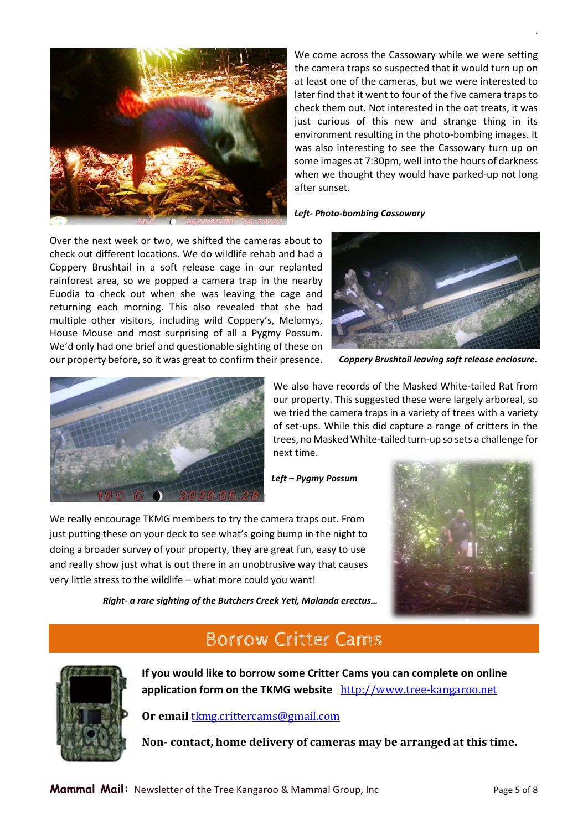

We come across the Cassowary while we were setting the camera traps so suspected that it would turn up on at least one of the cameras, but we were interested to later find that it went to four of the five camera traps to check them out. Not interested in the oat treats, it was just curious of this new and strange thing in its environment resulting in the photo-bombing images. It was also interesting to see the Cassowary turn up on some images at 7:30pm, well into the hours of darkness when we thought they would have parked-up not long after sunset.

*.*

#### *Left- Photo-bombing Cassowary*

Over the next week or two, we shifted the cameras about to check out different locations. We do wildlife rehab and had a Coppery Brushtail in a soft release cage in our replanted rainforest area, so we popped a camera trap in the nearby Euodia to check out when she was leaving the cage and returning each morning. This also revealed that she had multiple other visitors, including wild Coppery's, Melomys, House Mouse and most surprising of all a Pygmy Possum. We'd only had one brief and questionable sighting of these on our property before, so it was great to confirm their presence.



*Coppery Brushtail leaving soft release enclosure.*



We also have records of the Masked White-tailed Rat from our property. This suggested these were largely arboreal, so we tried the camera traps in a variety of trees with a variety of set-ups. While this did capture a range of critters in the trees, no Masked White-tailed turn-up so sets a challenge for next time.

*Left – Pygmy Possum*

We really encourage TKMG members to try the camera traps out. From just putting these on your deck to see what's going bump in the night to doing a broader survey of your property, they are great fun, easy to use and really show just what is out there in an unobtrusive way that causes very little stress to the wildlife – what more could you want!



*Right- a rare sighting of the Butchers Creek Yeti, Malanda erectus…*

# **Borrow Critter Cams**



**If you would like to borrow some Critter Cams you can complete on online**  application form on the TKMG website [http://www.tree-kangaroo.net](http://www.tree-kangaroo.net/)

**Or email** [tkmg.crittercams@gmail.com](mailto:tkmg.crittercams@gmail.com)

**Non- contact, home delivery of cameras may be arranged at this time.**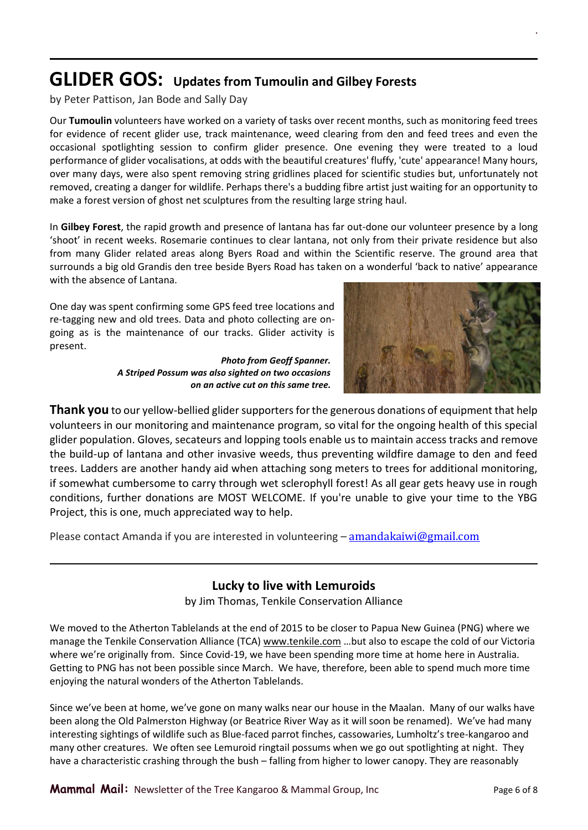# **GLIDER GOS: Updates from Tumoulin and Gilbey Forests**

by Peter Pattison, Jan Bode and Sally Day

Our **Tumoulin** volunteers have worked on a variety of tasks over recent months, such as monitoring feed trees for evidence of recent glider use, track maintenance, weed clearing from den and feed trees and even the occasional spotlighting session to confirm glider presence. One evening they were treated to a loud performance of glider vocalisations, at odds with the beautiful creatures' fluffy, 'cute' appearance! Many hours, over many days, were also spent removing string gridlines placed for scientific studies but, unfortunately not removed, creating a danger for wildlife. Perhaps there's a budding fibre artist just waiting for an opportunity to make a forest version of ghost net sculptures from the resulting large string haul.

In **Gilbey Forest**, the rapid growth and presence of lantana has far out-done our volunteer presence by a long 'shoot' in recent weeks. Rosemarie continues to clear lantana, not only from their private residence but also from many Glider related areas along Byers Road and within the Scientific reserve. The ground area that surrounds a big old Grandis den tree beside Byers Road has taken on a wonderful 'back to native' appearance with the absence of Lantana.

One day was spent confirming some GPS feed tree locations and re-tagging new and old trees. Data and photo collecting are ongoing as is the maintenance of our tracks. Glider activity is present.

> *Photo from Geoff Spanner. A Striped Possum was also sighted on two occasions on an active cut on this same tree.*



*.*

**Thank you** to our yellow-bellied glider supporters for the generous donations of equipment that help volunteers in our monitoring and maintenance program, so vital for the ongoing health of this special glider population. Gloves, secateurs and lopping tools enable us to maintain access tracks and remove the build-up of lantana and other invasive weeds, thus preventing wildfire damage to den and feed trees. Ladders are another handy aid when attaching song meters to trees for additional monitoring, if somewhat cumbersome to carry through wet sclerophyll forest! As all gear gets heavy use in rough conditions, further donations are MOST WELCOME. If you're unable to give your time to the YBG Project, this is one, much appreciated way to help.

Please contact Amanda if you are interested in volunteering – [amandakaiwi@gmail.com](mailto:amandakaiwi@gmail.com)

### **Lucky to live with Lemuroids**

by Jim Thomas, Tenkile Conservation Alliance

We moved to the Atherton Tablelands at the end of 2015 to be closer to Papua New Guinea (PNG) where we manage the Tenkile Conservation Alliance (TCA[\) www.tenkile.com](http://www.tenkile.com/) ...but also to escape the cold of our Victoria where we're originally from. Since Covid-19, we have been spending more time at home here in Australia. Getting to PNG has not been possible since March. We have, therefore, been able to spend much more time enjoying the natural wonders of the Atherton Tablelands.

Since we've been at home, we've gone on many walks near our house in the Maalan. Many of our walks have been along the Old Palmerston Highway (or Beatrice River Way as it will soon be renamed). We've had many interesting sightings of wildlife such as Blue-faced parrot finches, cassowaries, Lumholtz's tree-kangaroo and many other creatures. We often see Lemuroid ringtail possums when we go out spotlighting at night. They have a characteristic crashing through the bush – falling from higher to lower canopy. They are reasonably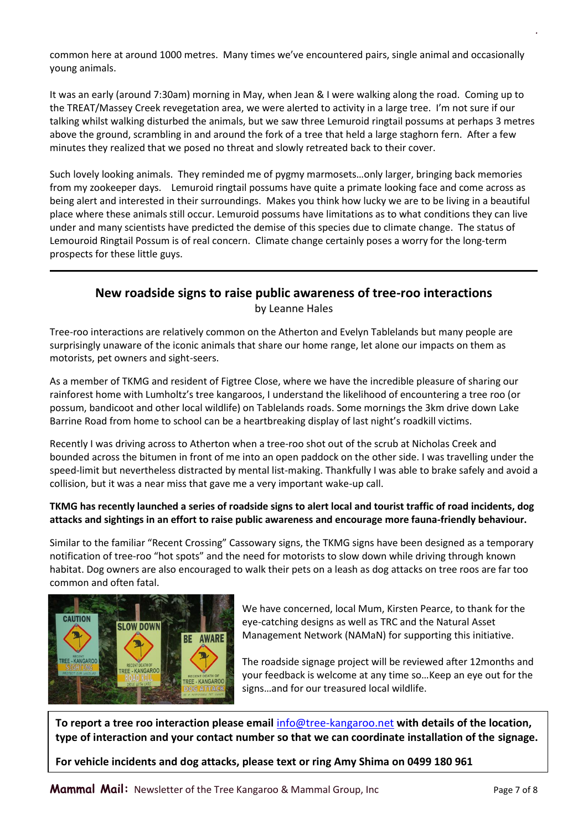common here at around 1000 metres. Many times we've encountered pairs, single animal and occasionally young animals.

It was an early (around 7:30am) morning in May, when Jean & I were walking along the road. Coming up to the TREAT/Massey Creek revegetation area, we were alerted to activity in a large tree. I'm not sure if our talking whilst walking disturbed the animals, but we saw three Lemuroid ringtail possums at perhaps 3 metres above the ground, scrambling in and around the fork of a tree that held a large staghorn fern. After a few minutes they realized that we posed no threat and slowly retreated back to their cover.

Such lovely looking animals. They reminded me of pygmy marmosets…only larger, bringing back memories from my zookeeper days. Lemuroid ringtail possums have quite a primate looking face and come across as being alert and interested in their surroundings. Makes you think how lucky we are to be living in a beautiful place where these animals still occur. Lemuroid possums have limitations as to what conditions they can live under and many scientists have predicted the demise of this species due to climate change. The status of Lemouroid Ringtail Possum is of real concern. Climate change certainly poses a worry for the long-term prospects for these little guys.

### **New roadside signs to raise public awareness of tree-roo interactions** by Leanne Hales

Tree-roo interactions are relatively common on the Atherton and Evelyn Tablelands but many people are surprisingly unaware of the iconic animals that share our home range, let alone our impacts on them as motorists, pet owners and sight-seers.

As a member of TKMG and resident of Figtree Close, where we have the incredible pleasure of sharing our rainforest home with Lumholtz's tree kangaroos, I understand the likelihood of encountering a tree roo (or possum, bandicoot and other local wildlife) on Tablelands roads. Some mornings the 3km drive down Lake Barrine Road from home to school can be a heartbreaking display of last night's roadkill victims.

Recently I was driving across to Atherton when a tree-roo shot out of the scrub at Nicholas Creek and bounded across the bitumen in front of me into an open paddock on the other side. I was travelling under the speed-limit but nevertheless distracted by mental list-making. Thankfully I was able to brake safely and avoid a collision, but it was a near miss that gave me a very important wake-up call.

#### **TKMG has recently launched a series of roadside signs to alert local and tourist traffic of road incidents, dog attacks and sightings in an effort to raise public awareness and encourage more fauna-friendly behaviour.**

Similar to the familiar "Recent Crossing" Cassowary signs, the TKMG signs have been designed as a temporary notification of tree-roo "hot spots" and the need for motorists to slow down while driving through known habitat. Dog owners are also encouraged to walk their pets on a leash as dog attacks on tree roos are far too common and often fatal.



We have concerned, local Mum, Kirsten Pearce, to thank for the eye-catching designs as well as TRC and the Natural Asset Management Network (NAMaN) for supporting this initiative.

The roadside signage project will be reviewed after 12months and your feedback is welcome at any time so…Keep an eye out for the signs…and for our treasured local wildlife.

**To report a tree roo interaction please email** [info@tree-kangaroo.net](mailto:info@tree-kangaroo.net) **with details of the location, type of interaction and your contact number so that we can coordinate installation of the signage.**

**For vehicle incidents and dog attacks, please text or ring Amy Shima on 0499 180 961**